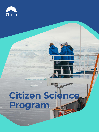

### **Citizen Science**

# **Program**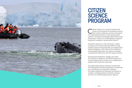

## **CITIZEN SCIENCE PROGRAM**

itizen Science is a way to harness the<br>power of thousands of travellers arous<br>the world to observe, record, and report power of thousands of travellers around the world to observe, record, and report on natural phenomena. This is particularly useful in remote and isolated destinations like Antarctica, where it is challenging to support long-term academic observation teams.

Scientific research in the Antarctic is often a costly, time-consuming and difficult task. Citizen Science Programs like ours aboard the Ocean Endeavour can help in the collection of invaluable data that can help us to better understand Antarctica and the issues it faces.

During every Antarctic voyage, you have the chance to observe, record and report on natural phenomena as part of a collaboration project with Antarctic scientists.

Our dedicated Citizen Science Coordinator will lead guest-focused initiatives to maximise our contribution to scientific research. The data collected will directly contribute to a better understanding of climate change and how it is affecting the polar regions.